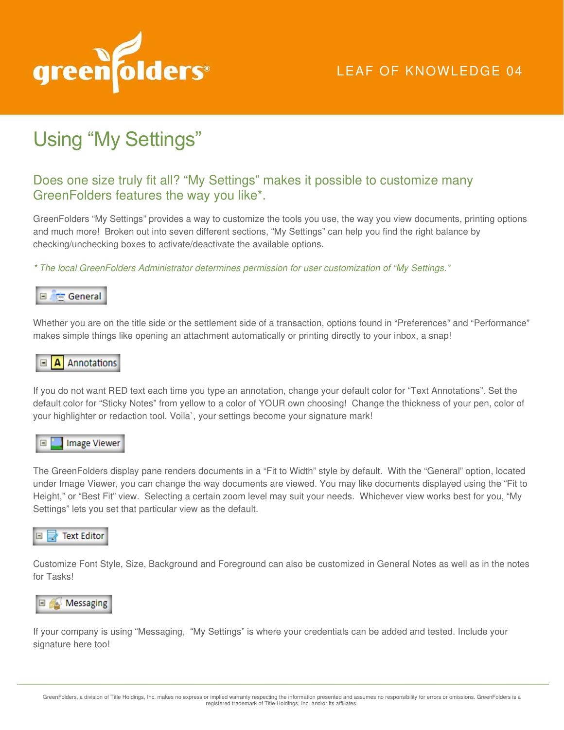

## Using "My Settings"

## Does one size truly fit all? "My Settings" makes it possible to customize many GreenFolders features the way you like\*.

GreenFolders "My Settings" provides a way to customize the tools you use, the way you view documents, printing options and much more! Broken out into seven different sections, "My Settings" can help you find the right balance by checking/unchecking boxes to activate/deactivate the available options.

\* The local GreenFolders Administrator determines permission for user customization of "My Settings."



Whether you are on the title side or the settlement side of a transaction, options found in "Preferences" and "Performance" makes simple things like opening an attachment automatically or printing directly to your inbox, a snap!

## $\Box$  **A** Annotations

If you do not want RED text each time you type an annotation, change your default color for "Text Annotations". Set the default color for "Sticky Notes" from yellow to a color of YOUR own choosing! Change the thickness of your pen, color of your highlighter or redaction tool. Voila`, your settings become your signature mark!



The GreenFolders display pane renders documents in a "Fit to Width" style by default. With the "General" option, located under Image Viewer, you can change the way documents are viewed. You may like documents displayed using the "Fit to Height," or "Best Fit" view. Selecting a certain zoom level may suit your needs. Whichever view works best for you, "My Settings" lets you set that particular view as the default.



Customize Font Style, Size, Background and Foreground can also be customized in General Notes as well as in the notes for Tasks!



If your company is using "Messaging, "My Settings" is where your credentials can be added and tested. Include your signature here too!